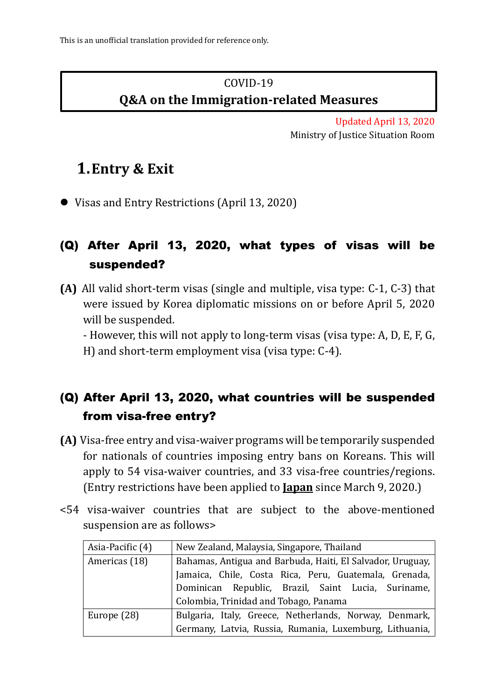### COVID-19 **Q&A on the Immigration-related Measures**

Updated April 13, 2020 Ministry of Justice Situation Room

# **1.Entry & Exit**

Visas and Entry Restrictions (April 13, 2020)

### (Q) After April 13, 2020, what types of visas will be suspended?

**(A)** All valid short-term visas (single and multiple, visa type: C-1, C-3) that were issued by Korea diplomatic missions on or before April 5, 2020 will be suspended.

- However, this will not apply to long-term visas (visa type: A, D, E, F, G, H) and short-term employment visa (visa type: C-4).

### (Q) After April 13, 2020, what countries will be suspended from visa-free entry?

- **(A)** Visa-free entry and visa-waiver programs will be temporarily suspended for nationals of countries imposing entry bans on Koreans. This will apply to 54 visa-waiver countries, and 33 visa-free countries/regions. (Entry restrictions have been applied to **Japan** since March 9, 2020.)
- <54 visa-waiver countries that are subject to the above-mentioned suspension are as follows>

| Asia-Pacific (4) | New Zealand, Malaysia, Singapore, Thailand                                                                                                           |
|------------------|------------------------------------------------------------------------------------------------------------------------------------------------------|
| Americas (18)    | Bahamas, Antigua and Barbuda, Haiti, El Salvador, Uruguay,                                                                                           |
|                  |                                                                                                                                                      |
|                  | Jamaica, Chile, Costa Rica, Peru, Guatemala, Grenada,<br>Dominican Republic, Brazil, Saint Lucia, Suriname,<br>Colombia, Trinidad and Tobago, Panama |
|                  |                                                                                                                                                      |
| Europe (28)      | Bulgaria, Italy, Greece, Netherlands, Norway, Denmark,                                                                                               |
|                  | Germany, Latvia, Russia, Rumania, Luxemburg, Lithuania,                                                                                              |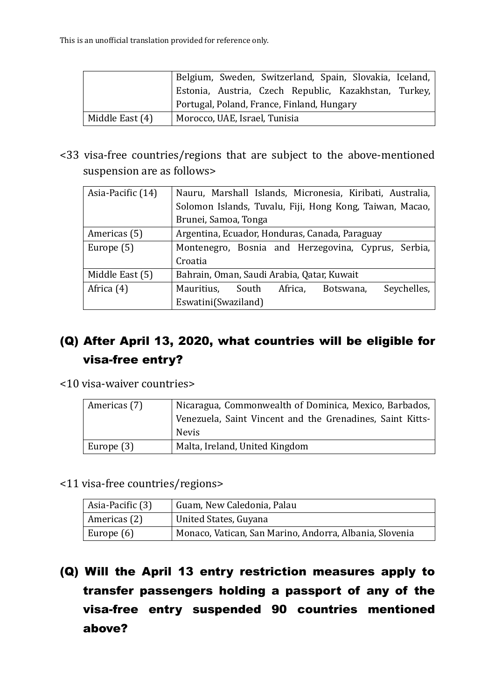|                 | Belgium, Sweden, Switzerland, Spain, Slovakia, Iceland, |
|-----------------|---------------------------------------------------------|
|                 | Estonia, Austria, Czech Republic, Kazakhstan, Turkey,   |
|                 | Portugal, Poland, France, Finland, Hungary              |
| Middle East (4) | Morocco, UAE, Israel, Tunisia                           |

<33 visa-free countries/regions that are subject to the above-mentioned suspension are as follows>

| Asia-Pacific (14) | Nauru, Marshall Islands, Micronesia, Kiribati, Australia, |
|-------------------|-----------------------------------------------------------|
|                   | Solomon Islands, Tuvalu, Fiji, Hong Kong, Taiwan, Macao,  |
|                   | Brunei, Samoa, Tonga                                      |
| Americas (5)      | Argentina, Ecuador, Honduras, Canada, Paraguay            |
| Europe (5)        | Montenegro, Bosnia and Herzegovina, Cyprus, Serbia,       |
|                   | Croatia                                                   |
| Middle East (5)   | Bahrain, Oman, Saudi Arabia, Qatar, Kuwait                |
| Africa (4)        | Seychelles,<br>Mauritius, South Africa,<br>Botswana,      |
|                   | Eswatini(Swaziland)                                       |

### (Q) After April 13, 2020, what countries will be eligible for visa-free entry?

<10 visa-waiver countries>

| Americas (7) | Nicaragua, Commonwealth of Dominica, Mexico, Barbados,    |
|--------------|-----------------------------------------------------------|
|              | Venezuela, Saint Vincent and the Grenadines, Saint Kitts- |
|              | <b>Nevis</b>                                              |
| Europe (3)   | Malta, Ireland, United Kingdom                            |

<11 visa-free countries/regions>

| Asia-Pacific (3) | Guam, New Caledonia, Palau                              |
|------------------|---------------------------------------------------------|
| Americas (2)     | United States, Guyana                                   |
| Europe $(6)$     | Monaco, Vatican, San Marino, Andorra, Albania, Slovenia |

(Q) Will the April 13 entry restriction measures apply to transfer passengers holding a passport of any of the visa-free entry suspended 90 countries mentioned above?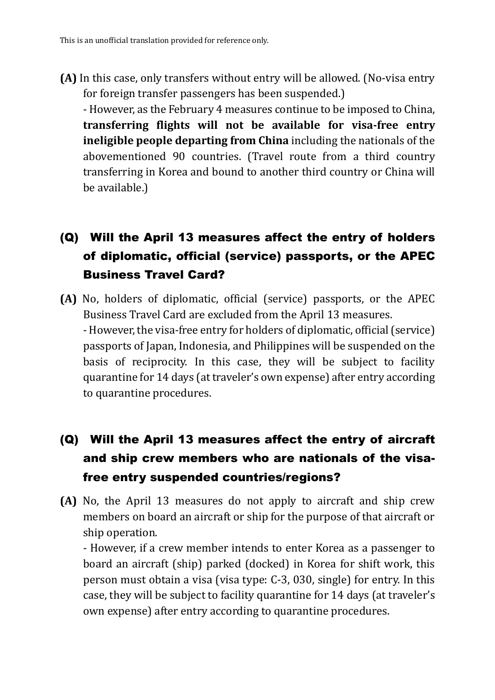**(A)** In this case, only transfers without entry will be allowed. (No-visa entry for foreign transfer passengers has been suspended.)

- However, as the February 4 measures continue to be imposed to China, **transferring flights will not be available for visa-free entry ineligible people departing from China** including the nationals of the abovementioned 90 countries. (Travel route from a third country transferring in Korea and bound to another third country or China will be available.)

## (Q) Will the April 13 measures affect the entry of holders of diplomatic, official (service) passports, or the APEC Business Travel Card?

**(A)** No, holders of diplomatic, official (service) passports, or the APEC Business Travel Card are excluded from the April 13 measures. - However, the visa-free entry for holders of diplomatic, official (service) passports of Japan, Indonesia, and Philippines will be suspended on the basis of reciprocity. In this case, they will be subject to facility quarantine for 14 days (at traveler's own expense) after entry according to quarantine procedures.

### (Q) Will the April 13 measures affect the entry of aircraft and ship crew members who are nationals of the visafree entry suspended countries/regions?

**(A)** No, the April 13 measures do not apply to aircraft and ship crew members on board an aircraft or ship for the purpose of that aircraft or ship operation.

- However, if a crew member intends to enter Korea as a passenger to board an aircraft (ship) parked (docked) in Korea for shift work, this person must obtain a visa (visa type: C-3, 030, single) for entry. In this case, they will be subject to facility quarantine for 14 days (at traveler's own expense) after entry according to quarantine procedures.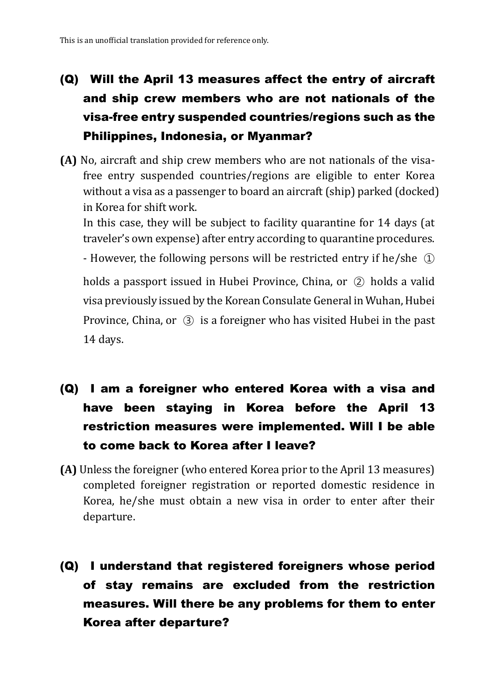## (Q) Will the April 13 measures affect the entry of aircraft and ship crew members who are not nationals of the visa-free entry suspended countries/regions such as the Philippines, Indonesia, or Myanmar?

**(A)** No, aircraft and ship crew members who are not nationals of the visafree entry suspended countries/regions are eligible to enter Korea without a visa as a passenger to board an aircraft (ship) parked (docked) in Korea for shift work.

In this case, they will be subject to facility quarantine for 14 days (at traveler's own expense) after entry according to quarantine procedures.

- However, the following persons will be restricted entry if he/she ①

holds a passport issued in Hubei Province, China, or ② holds a valid visa previously issued by the Korean Consulate General in Wuhan, Hubei Province, China, or ③ is a foreigner who has visited Hubei in the past 14 days.

- (Q) I am a foreigner who entered Korea with a visa and have been staying in Korea before the April 13 restriction measures were implemented. Will I be able to come back to Korea after I leave?
- **(A)** Unless the foreigner (who entered Korea prior to the April 13 measures) completed foreigner registration or reported domestic residence in Korea, he/she must obtain a new visa in order to enter after their departure.
- (Q) I understand that registered foreigners whose period of stay remains are excluded from the restriction measures. Will there be any problems for them to enter Korea after departure?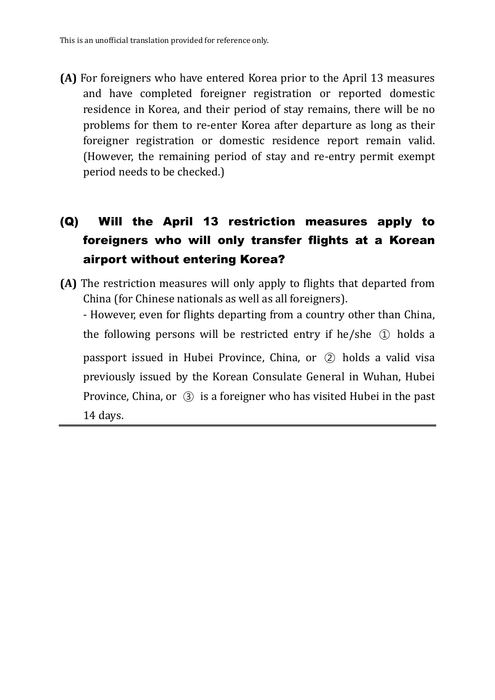**(A)** For foreigners who have entered Korea prior to the April 13 measures and have completed foreigner registration or reported domestic residence in Korea, and their period of stay remains, there will be no problems for them to re-enter Korea after departure as long as their foreigner registration or domestic residence report remain valid. (However, the remaining period of stay and re-entry permit exempt period needs to be checked.)

## (Q) Will the April 13 restriction measures apply to foreigners who will only transfer flights at a Korean airport without entering Korea?

**(A)** The restriction measures will only apply to flights that departed from China (for Chinese nationals as well as all foreigners). - However, even for flights departing from a country other than China, the following persons will be restricted entry if he/she  $(1)$  holds a passport issued in Hubei Province, China, or ② holds a valid visa previously issued by the Korean Consulate General in Wuhan, Hubei Province, China, or ③ is a foreigner who has visited Hubei in the past

14 days.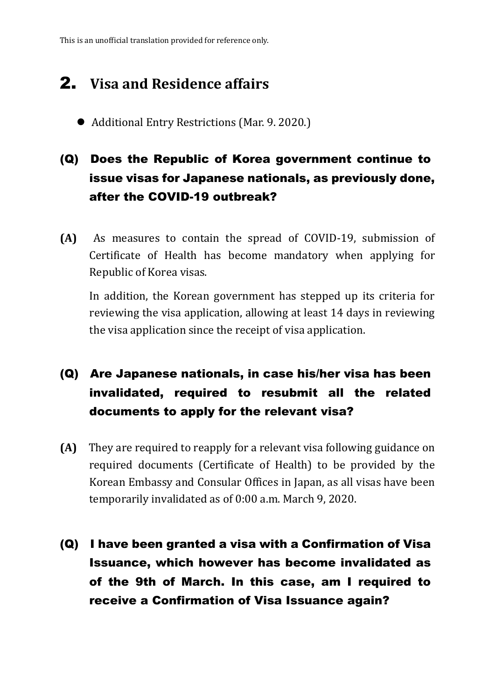This is an unofficial translation provided for reference only.

# 2. **Visa and Residence affairs**

Additional Entry Restrictions (Mar. 9. 2020.)

## (Q) Does the Republic of Korea government continue to issue visas for Japanese nationals, as previously done, after the COVID-19 outbreak?

**(A)** As measures to contain the spread of COVID-19, submission of Certificate of Health has become mandatory when applying for Republic of Korea visas.

In addition, the Korean government has stepped up its criteria for reviewing the visa application, allowing at least 14 days in reviewing the visa application since the receipt of visa application.

### (Q) Are Japanese nationals, in case his/her visa has been invalidated, required to resubmit all the related documents to apply for the relevant visa?

- **(A)** They are required to reapply for a relevant visa following guidance on required documents (Certificate of Health) to be provided by the Korean Embassy and Consular Offices in Japan, as all visas have been temporarily invalidated as of 0:00 a.m. March 9, 2020.
- (Q) I have been granted a visa with a Confirmation of Visa Issuance, which however has become invalidated as of the 9th of March. In this case, am I required to receive a Confirmation of Visa Issuance again?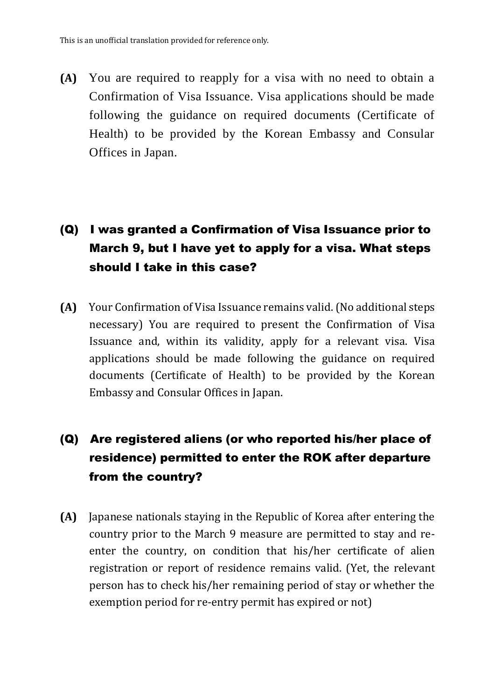**(A)** You are required to reapply for a visa with no need to obtain a Confirmation of Visa Issuance. Visa applications should be made following the guidance on required documents (Certificate of Health) to be provided by the Korean Embassy and Consular Offices in Japan.

### (Q) I was granted a Confirmation of Visa Issuance prior to March 9, but I have yet to apply for a visa. What steps should I take in this case?

**(A)** Your Confirmation of Visa Issuance remains valid.(No additional steps necessary) You are required to present the Confirmation of Visa Issuance and, within its validity, apply for a relevant visa. Visa applications should be made following the guidance on required documents (Certificate of Health) to be provided by the Korean Embassy and Consular Offices in Japan.

### (Q) Are registered aliens (or who reported his/her place of residence) permitted to enter the ROK after departure from the country?

**(A)** Japanese nationals staying in the Republic of Korea after entering the country prior to the March 9 measure are permitted to stay and reenter the country, on condition that his/her certificate of alien registration or report of residence remains valid. (Yet, the relevant person has to check his/her remaining period of stay or whether the exemption period for re-entry permit has expired or not)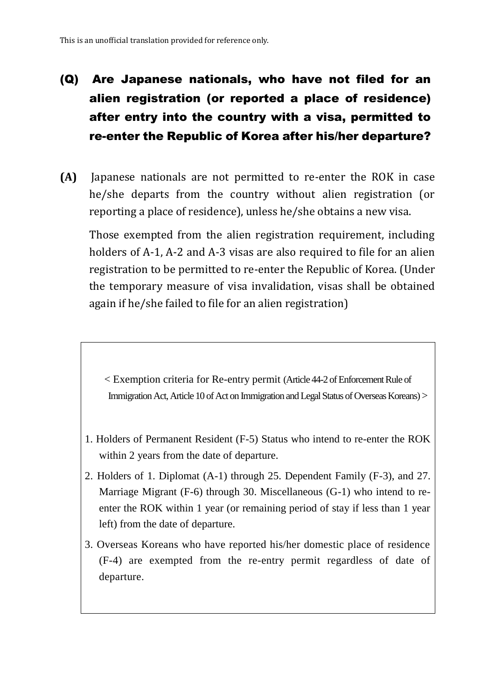# (Q) Are Japanese nationals, who have not filed for an alien registration (or reported a place of residence) after entry into the country with a visa, permitted to re-enter the Republic of Korea after his/her departure?

**(A)** Japanese nationals are not permitted to re-enter the ROK in case he/she departs from the country without alien registration (or reporting a place of residence), unless he/she obtains a new visa.

Those exempted from the alien registration requirement, including holders of A-1, A-2 and A-3 visas are also required to file for an alien registration to be permitted to re-enter the Republic of Korea. (Under the temporary measure of visa invalidation, visas shall be obtained again if he/she failed to file for an alien registration)

< Exemption criteria for Re-entry permit (Article 44-2 of Enforcement Rule of Immigration Act, Article 10 of Act on Immigration and Legal Status of Overseas Koreans) >

- 1. Holders of Permanent Resident (F-5) Status who intend to re-enter the ROK within 2 years from the date of departure.
- 2. Holders of 1. Diplomat (A-1) through 25. Dependent Family (F-3), and 27. Marriage Migrant (F-6) through 30. Miscellaneous (G-1) who intend to reenter the ROK within 1 year (or remaining period of stay if less than 1 year left) from the date of departure.
- 3. Overseas Koreans who have reported his/her domestic place of residence (F-4) are exempted from the re-entry permit regardless of date of departure.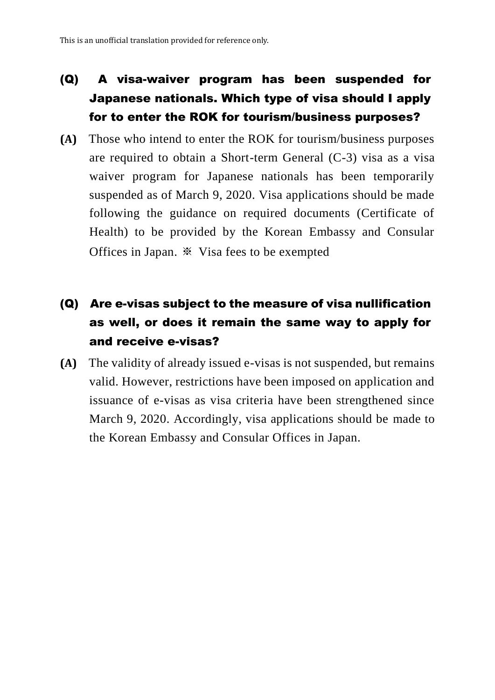### (Q) A visa-waiver program has been suspended for Japanese nationals. Which type of visa should I apply for to enter the ROK for tourism/business purposes?

**(A)** Those who intend to enter the ROK for tourism/business purposes are required to obtain a Short-term General (C-3) visa as a visa waiver program for Japanese nationals has been temporarily suspended as of March 9, 2020. Visa applications should be made following the guidance on required documents (Certificate of Health) to be provided by the Korean Embassy and Consular Offices in Japan. ※ Visa fees to be exempted

### (Q) Are e-visas subject to the measure of visa nullification as well, or does it remain the same way to apply for and receive e-visas?

**(A)** The validity of already issued e-visas is not suspended, but remains valid. However, restrictions have been imposed on application and issuance of e-visas as visa criteria have been strengthened since March 9, 2020. Accordingly, visa applications should be made to the Korean Embassy and Consular Offices in Japan.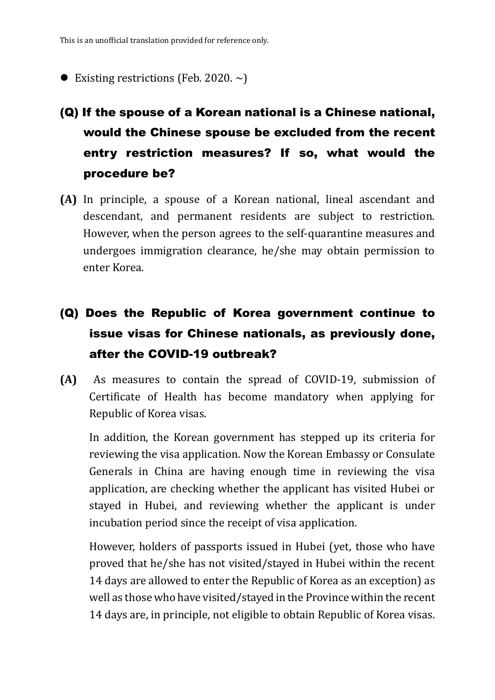- Existing restrictions (Feb. 2020.  $\sim$ )
- (Q) If the spouse of a Korean national is a Chinese national, would the Chinese spouse be excluded from the recent entry restriction measures? If so, what would the procedure be?
- **(A)** In principle, a spouse of a Korean national, lineal ascendant and descendant, and permanent residents are subject to restriction. However, when the person agrees to the self-quarantine measures and undergoes immigration clearance, he/she may obtain permission to enter Korea.
- (Q) Does the Republic of Korea government continue to issue visas for Chinese nationals, as previously done, after the COVID-19 outbreak?
- **(A)** As measures to contain the spread of COVID-19, submission of Certificate of Health has become mandatory when applying for Republic of Korea visas.

In addition, the Korean government has stepped up its criteria for reviewing the visa application. Now the Korean Embassy or Consulate Generals in China are having enough time in reviewing the visa application, are checking whether the applicant has visited Hubei or stayed in Hubei, and reviewing whether the applicant is under incubation period since the receipt of visa application.

However, holders of passports issued in Hubei (yet, those who have proved that he/she has not visited/stayed in Hubei within the recent 14 days are allowed to enter the Republic of Korea as an exception) as well as those who have visited/stayed in the Province within the recent 14 days are, in principle, not eligible to obtain Republic of Korea visas.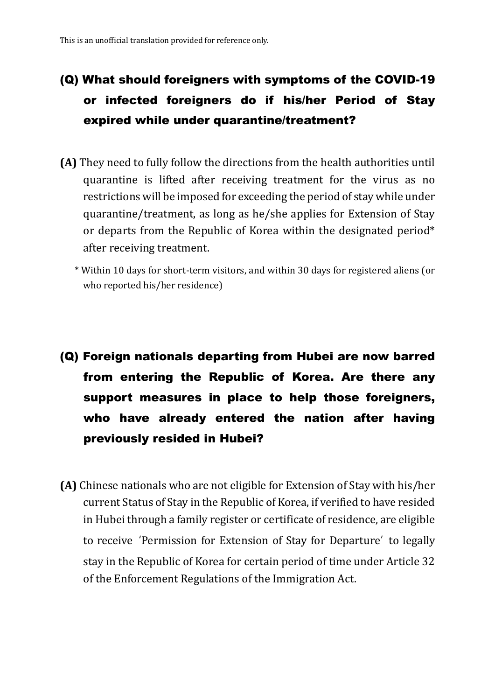# (Q) What should foreigners with symptoms of the COVID-19 or infected foreigners do if his/her Period of Stay expired while under quarantine/treatment?

- **(A)** They need to fully follow the directions from the health authorities until quarantine is lifted after receiving treatment for the virus as no restrictions will be imposed for exceeding the period of stay while under quarantine/treatment, as long as he/she applies for Extension of Stay or departs from the Republic of Korea within the designated period\* after receiving treatment.
	- \* Within 10 days for short-term visitors, and within 30 days for registered aliens (or who reported his/her residence)
- (Q) Foreign nationals departing from Hubei are now barred from entering the Republic of Korea. Are there any support measures in place to help those foreigners, who have already entered the nation after having previously resided in Hubei?
- **(A)** Chinese nationals who are not eligible for Extension of Stay with his/her current Status of Stay in the Republic of Korea, if verified to have resided in Hubei through a family register or certificate of residence, are eligible to receive 'Permission for Extension of Stay for Departure' to legally stay in the Republic of Korea for certain period of time under Article 32 of the Enforcement Regulations of the Immigration Act.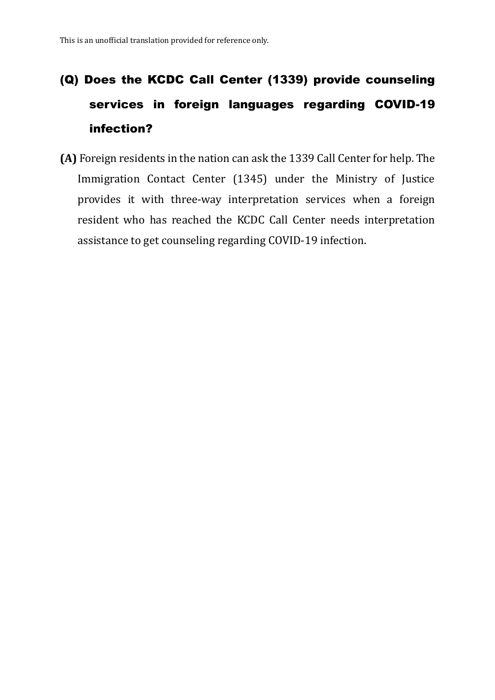# (Q) Does the KCDC Call Center (1339) provide counseling services in foreign languages regarding COVID-19 infection?

**(A)** Foreign residents in the nation can ask the 1339 Call Center for help. The Immigration Contact Center (1345) under the Ministry of Justice provides it with three-way interpretation services when a foreign resident who has reached the KCDC Call Center needs interpretation assistance to get counseling regarding COVID-19 infection.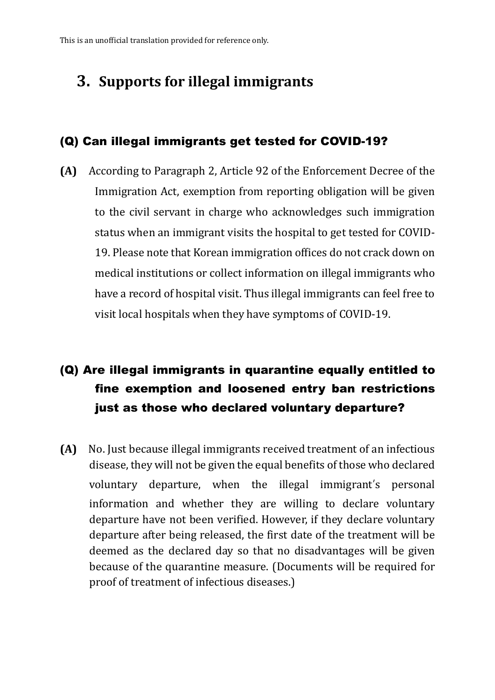# **3. Supports for illegal immigrants**

#### (Q) Can illegal immigrants get tested for COVID-19?

**(A)** According to Paragraph 2, Article 92 of the Enforcement Decree of the Immigration Act, exemption from reporting obligation will be given to the civil servant in charge who acknowledges such immigration status when an immigrant visits the hospital to get tested for COVID-19. Please note that Korean immigration offices do not crack down on medical institutions or collect information on illegal immigrants who have a record of hospital visit. Thus illegal immigrants can feel free to visit local hospitals when they have symptoms of COVID-19.

### (Q) Are illegal immigrants in quarantine equally entitled to fine exemption and loosened entry ban restrictions just as those who declared voluntary departure?

**(A)** No. Just because illegal immigrants received treatment of an infectious disease, they will not be given the equal benefits of those who declared voluntary departure, when the illegal immigrant's personal information and whether they are willing to declare voluntary departure have not been verified. However, if they declare voluntary departure after being released, the first date of the treatment will be deemed as the declared day so that no disadvantages will be given because of the quarantine measure. (Documents will be required for proof of treatment of infectious diseases.)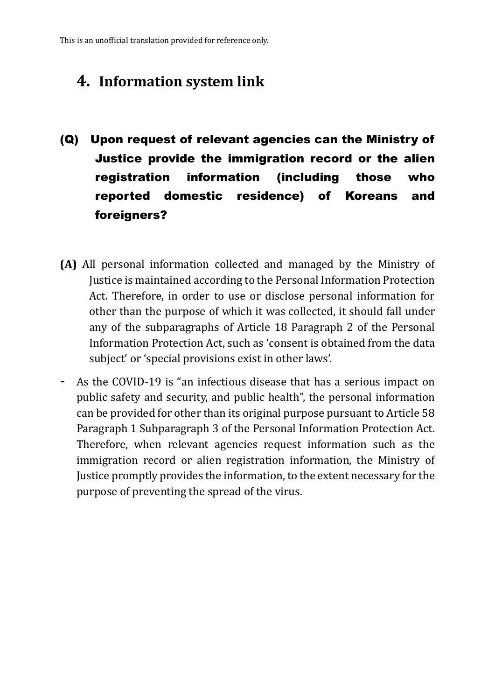### **4. Information system link**

- (Q) Upon request of relevant agencies can the Ministry of Justice provide the immigration record or the alien registration information (including those who reported domestic residence) of Koreans and foreigners?
- **(A)** All personal information collected and managed by the Ministry of Justice is maintained according to the Personal Information Protection Act. Therefore, in order to use or disclose personal information for other than the purpose of which it was collected, it should fall under any of the subparagraphs of Article 18 Paragraph 2 of the Personal Information Protection Act, such as 'consent is obtained from the data subject' or 'special provisions exist in other laws'.
- As the COVID-19 is "an infectious disease that has a serious impact on public safety and security, and public health", the personal information can be provided for other than its original purpose pursuant to Article 58 Paragraph 1 Subparagraph 3 of the Personal Information Protection Act. Therefore, when relevant agencies request information such as the immigration record or alien registration information, the Ministry of Justice promptly provides the information, to the extent necessary for the purpose of preventing the spread of the virus.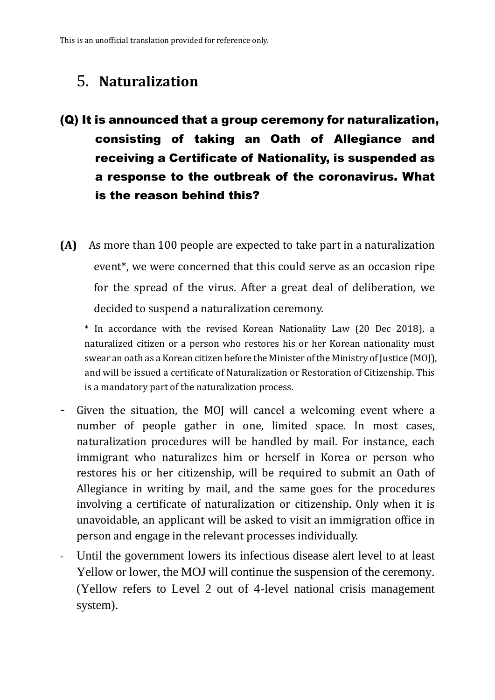### 5. **Naturalization**

- (Q) It is announced that a group ceremony for naturalization, consisting of taking an Oath of Allegiance and receiving a Certificate of Nationality, is suspended as a response to the outbreak of the coronavirus. What is the reason behind this?
- **(A)** As more than 100 people are expected to take part in a naturalization event\*, we were concerned that this could serve as an occasion ripe for the spread of the virus. After a great deal of deliberation, we decided to suspend a naturalization ceremony.

\* In accordance with the revised Korean Nationality Law (20 Dec 2018), a naturalized citizen or a person who restores his or her Korean nationality must swear an oath as a Korean citizen before the Minister of the Ministry of Justice (MOJ), and will be issued a certificate of Naturalization or Restoration of Citizenship. This is a mandatory part of the naturalization process.

- Given the situation, the MOJ will cancel a welcoming event where a number of people gather in one, limited space. In most cases, naturalization procedures will be handled by mail. For instance, each immigrant who naturalizes him or herself in Korea or person who restores his or her citizenship, will be required to submit an Oath of Allegiance in writing by mail, and the same goes for the procedures involving a certificate of naturalization or citizenship. Only when it is unavoidable, an applicant will be asked to visit an immigration office in person and engage in the relevant processes individually.
- Until the government lowers its infectious disease alert level to at least Yellow or lower, the MOJ will continue the suspension of the ceremony. (Yellow refers to Level 2 out of 4-level national crisis management system).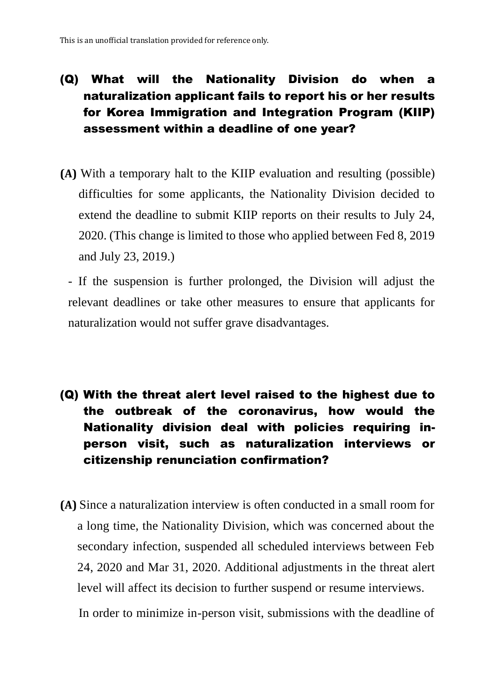### (Q) What will the Nationality Division do when a naturalization applicant fails to report his or her results for Korea Immigration and Integration Program (KIIP) assessment within a deadline of one year?

**(A)** With a temporary halt to the KIIP evaluation and resulting (possible) difficulties for some applicants, the Nationality Division decided to extend the deadline to submit KIIP reports on their results to July 24, 2020. (This change is limited to those who applied between Fed 8, 2019 and July 23, 2019.)

- If the suspension is further prolonged, the Division will adjust the relevant deadlines or take other measures to ensure that applicants for naturalization would not suffer grave disadvantages.

- (Q) With the threat alert level raised to the highest due to the outbreak of the coronavirus, how would the Nationality division deal with policies requiring inperson visit, such as naturalization interviews or citizenship renunciation confirmation?
- **(A)** Since a naturalization interview is often conducted in a small room for a long time, the Nationality Division, which was concerned about the secondary infection, suspended all scheduled interviews between Feb 24, 2020 and Mar 31, 2020. Additional adjustments in the threat alert level will affect its decision to further suspend or resume interviews. In order to minimize in-person visit, submissions with the deadline of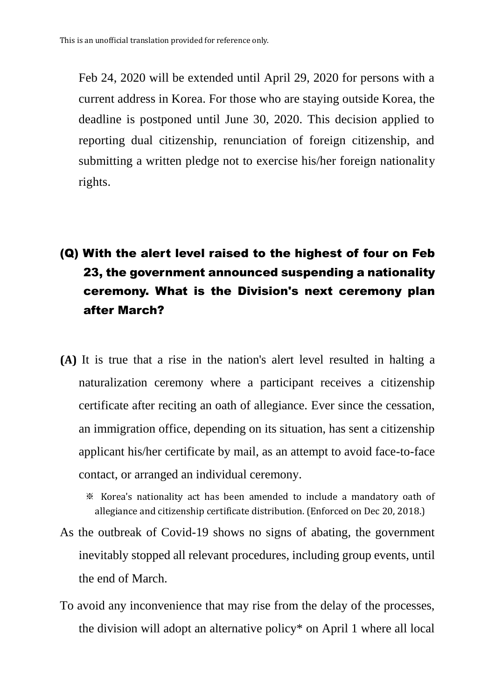Feb 24, 2020 will be extended until April 29, 2020 for persons with a current address in Korea. For those who are staying outside Korea, the deadline is postponed until June 30, 2020. This decision applied to reporting dual citizenship, renunciation of foreign citizenship, and submitting a written pledge not to exercise his/her foreign nationality rights.

## (Q) With the alert level raised to the highest of four on Feb 23, the government announced suspending a nationality ceremony. What is the Division's next ceremony plan after March?

- **(A)** It is true that a rise in the nation's alert level resulted in halting a naturalization ceremony where a participant receives a citizenship certificate after reciting an oath of allegiance. Ever since the cessation, an immigration office, depending on its situation, has sent a citizenship applicant his/her certificate by mail, as an attempt to avoid face-to-face contact, or arranged an individual ceremony.
	- ※ Korea's nationality act has been amended to include a mandatory oath of allegiance and citizenship certificate distribution. (Enforced on Dec 20, 2018.)
- As the outbreak of Covid-19 shows no signs of abating, the government inevitably stopped all relevant procedures, including group events, until the end of March.
- To avoid any inconvenience that may rise from the delay of the processes, the division will adopt an alternative policy\* on April 1 where all local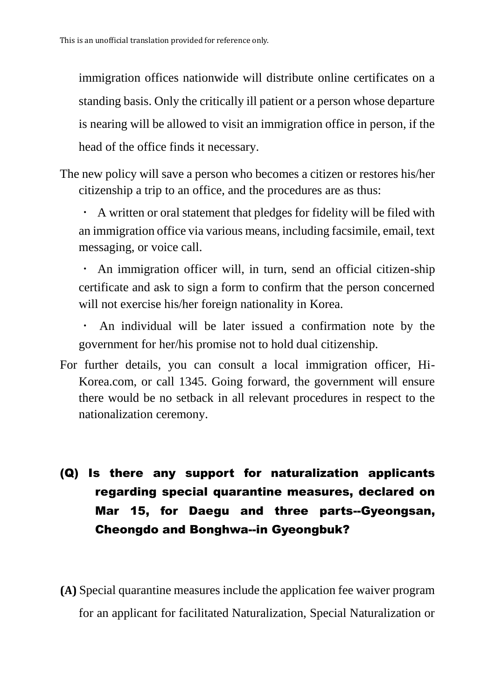immigration offices nationwide will distribute online certificates on a standing basis. Only the critically ill patient or a person whose departure is nearing will be allowed to visit an immigration office in person, if the head of the office finds it necessary.

The new policy will save a person who becomes a citizen or restores his/her citizenship a trip to an office, and the procedures are as thus:

· A written or oral statement that pledges for fidelity will be filed with an immigration office via various means, including facsimile, email, text messaging, or voice call.

An immigration officer will, in turn, send an official citizen-ship certificate and ask to sign a form to confirm that the person concerned will not exercise his/her foreign nationality in Korea.

An individual will be later issued a confirmation note by the government for her/his promise not to hold dual citizenship.

For further details, you can consult a local immigration officer, Hi-Korea.com, or call 1345. Going forward, the government will ensure there would be no setback in all relevant procedures in respect to the nationalization ceremony.

# (Q) Is there any support for naturalization applicants regarding special quarantine measures, declared on Mar 15, for Daegu and three parts--Gyeongsan, Cheongdo and Bonghwa--in Gyeongbuk?

**(A)** Special quarantine measures include the application fee waiver program for an applicant for facilitated Naturalization, Special Naturalization or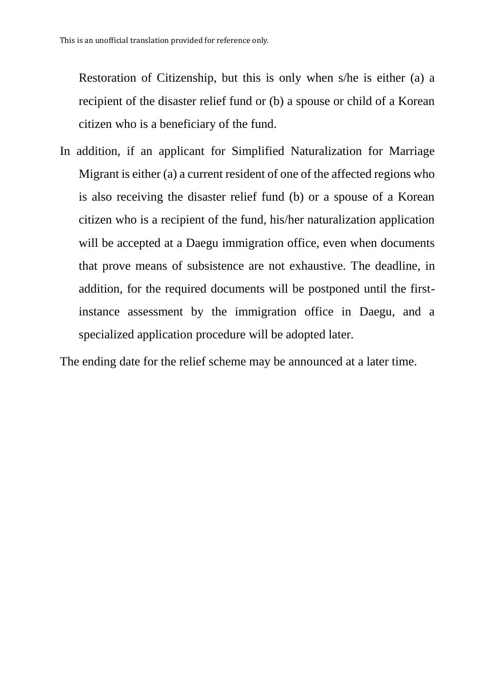Restoration of Citizenship, but this is only when s/he is either (a) a recipient of the disaster relief fund or (b) a spouse or child of a Korean citizen who is a beneficiary of the fund.

In addition, if an applicant for Simplified Naturalization for Marriage Migrant is either (a) a current resident of one of the affected regions who is also receiving the disaster relief fund (b) or a spouse of a Korean citizen who is a recipient of the fund, his/her naturalization application will be accepted at a Daegu immigration office, even when documents that prove means of subsistence are not exhaustive. The deadline, in addition, for the required documents will be postponed until the firstinstance assessment by the immigration office in Daegu, and a specialized application procedure will be adopted later.

The ending date for the relief scheme may be announced at a later time.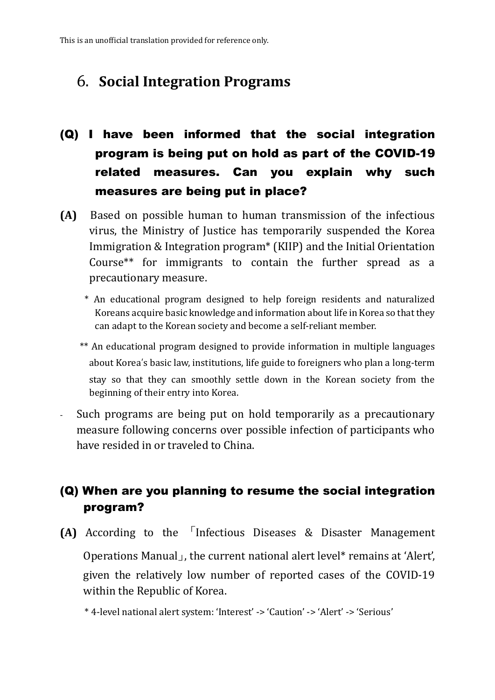### 6. **Social Integration Programs**

- (Q) I have been informed that the social integration program is being put on hold as part of the COVID-19 related measures. Can you explain why such measures are being put in place?
- **(A)** Based on possible human to human transmission of the infectious virus, the Ministry of Justice has temporarily suspended the Korea Immigration & Integration program\* (KIIP) and the Initial Orientation Course\*\* for immigrants to contain the further spread as a precautionary measure.
	- \* An educational program designed to help foreign residents and naturalized Koreans acquire basic knowledge and information about life in Korea so that they can adapt to the Korean society and become a self-reliant member.
	- \*\* An educational program designed to provide information in multiple languages about Korea's basic law, institutions, life guide to foreigners who plan a long-term stay so that they can smoothly settle down in the Korean society from the beginning of their entry into Korea.
- Such programs are being put on hold temporarily as a precautionary measure following concerns over possible infection of participants who have resided in or traveled to China.

### (Q) When are you planning to resume the social integration program?

**(A)** According to the 「Infectious Diseases & Disaster Management Operations Manual」, the current national alert level\* remains at 'Alert', given the relatively low number of reported cases of the COVID-19 within the Republic of Korea.

\* 4-level national alert system: 'Interest' -> 'Caution' -> 'Alert' -> 'Serious'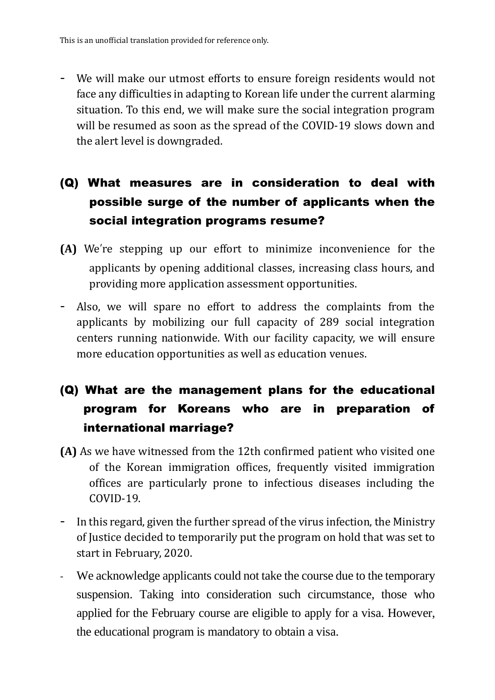- We will make our utmost efforts to ensure foreign residents would not face any difficulties in adapting to Korean life under the current alarming situation. To this end, we will make sure the social integration program will be resumed as soon as the spread of the COVID-19 slows down and the alert level is downgraded.

### (Q) What measures are in consideration to deal with possible surge of the number of applicants when the social integration programs resume?

- **(A)** We're stepping up our effort to minimize inconvenience for the applicants by opening additional classes, increasing class hours, and providing more application assessment opportunities.
- Also, we will spare no effort to address the complaints from the applicants by mobilizing our full capacity of 289 social integration centers running nationwide. With our facility capacity, we will ensure more education opportunities as well as education venues.

### (Q) What are the management plans for the educational program for Koreans who are in preparation of international marriage?

- **(A)** As we have witnessed from the 12th confirmed patient who visited one of the Korean immigration offices, frequently visited immigration offices are particularly prone to infectious diseases including the COVID-19.
- In this regard, given the further spread of the virus infection, the Ministry of Justice decided to temporarily put the program on hold that was set to start in February, 2020.
- We acknowledge applicants could not take the course due to the temporary suspension. Taking into consideration such circumstance, those who applied for the February course are eligible to apply for a visa. However, the educational program is mandatory to obtain a visa.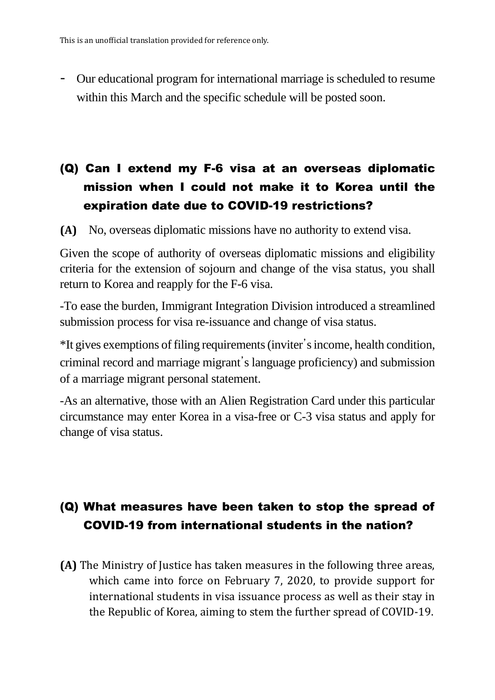- Our educational program for international marriage is scheduled to resume within this March and the specific schedule will be posted soon.

### (Q) Can I extend my F-6 visa at an overseas diplomatic mission when I could not make it to Korea until the expiration date due to COVID-19 restrictions?

**(A)** No, overseas diplomatic missions have no authority to extend visa.

Given the scope of authority of overseas diplomatic missions and eligibility criteria for the extension of sojourn and change of the visa status, you shall return to Korea and reapply for the F-6 visa.

-To ease the burden, Immigrant Integration Division introduced a streamlined submission process for visa re-issuance and change of visa status.

\*It gives exemptions of filing requirements(inviter's income, health condition, criminal record and marriage migrant's language proficiency) and submission of a marriage migrant personal statement.

-As an alternative, those with an Alien Registration Card under this particular circumstance may enter Korea in a visa-free or C-3 visa status and apply for change of visa status.

### (Q) What measures have been taken to stop the spread of COVID-19 from international students in the nation?

**(A)** The Ministry of Justice has taken measures in the following three areas, which came into force on February 7, 2020, to provide support for international students in visa issuance process as well as their stay in the Republic of Korea, aiming to stem the further spread of COVID-19.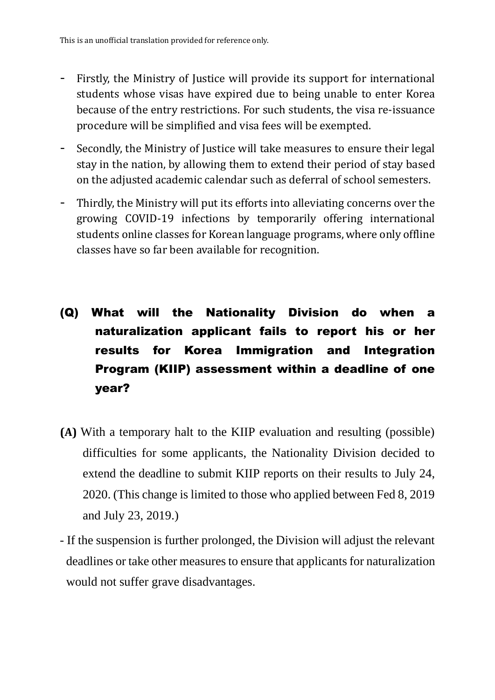- Firstly, the Ministry of Justice will provide its support for international students whose visas have expired due to being unable to enter Korea because of the entry restrictions. For such students, the visa re-issuance procedure will be simplified and visa fees will be exempted.
- Secondly, the Ministry of Justice will take measures to ensure their legal stay in the nation, by allowing them to extend their period of stay based on the adjusted academic calendar such as deferral of school semesters.
- Thirdly, the Ministry will put its efforts into alleviating concerns over the growing COVID-19 infections by temporarily offering international students online classes for Korean language programs, where only offline classes have so far been available for recognition.
- (Q) What will the Nationality Division do when a naturalization applicant fails to report his or her results for Korea Immigration and Integration Program (KIIP) assessment within a deadline of one year?
- **(A)** With a temporary halt to the KIIP evaluation and resulting (possible) difficulties for some applicants, the Nationality Division decided to extend the deadline to submit KIIP reports on their results to July 24, 2020. (This change is limited to those who applied between Fed 8, 2019 and July 23, 2019.)
- If the suspension is further prolonged, the Division will adjust the relevant deadlines or take other measures to ensure that applicants for naturalization would not suffer grave disadvantages.